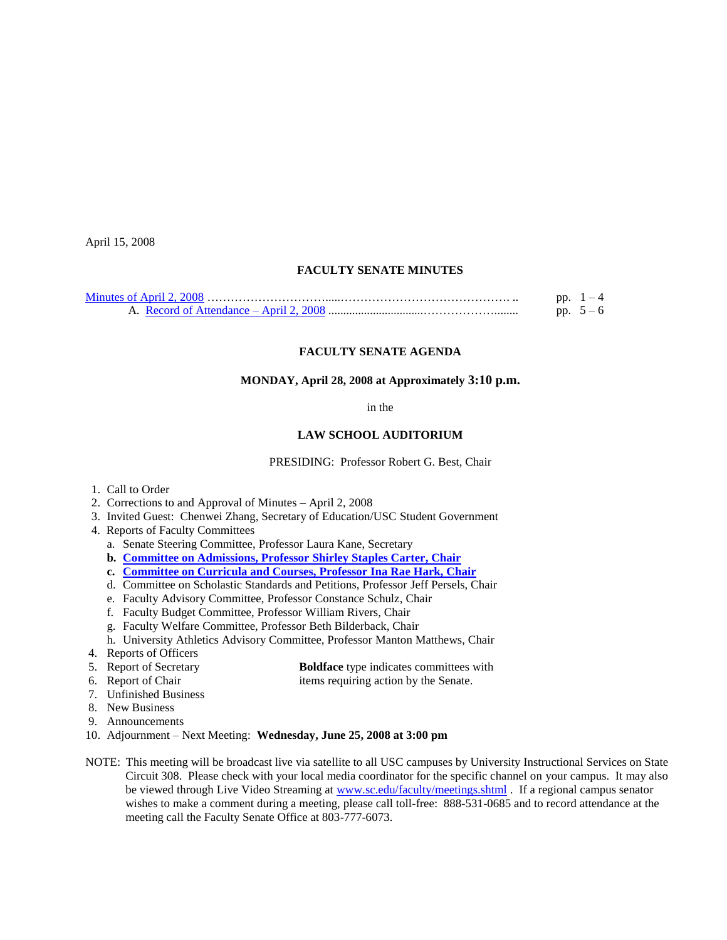April 15, 2008

# **FACULTY SENATE MINUTES**

# **FACULTY SENATE AGENDA**

### **MONDAY, April 28, 2008 at Approximately 3:10 p.m.**

in the

#### **LAW SCHOOL AUDITORIUM**

PRESIDING: Professor Robert G. Best, Chair

- 1. Call to Order
- 2. Corrections to and Approval of Minutes April 2, 2008
- 3. Invited Guest: Chenwei Zhang, Secretary of Education/USC Student Government
- 4. Reports of Faculty Committees
	- a. Senate Steering Committee, Professor Laura Kane, Secretary
	- **b. [Committee on Admissions, Professor Shirley Staples Carter, Chair](http://www.sc.edu/faculty/senate/08/agenda/0428.admissions.pdf)**
	- **c. [Committee on Curricula and Courses, Professor](http://www.sc.edu/faculty/senate/08/agenda/0428.cc.pdf) Ina Rae Hark, Chair**
	- d. Committee on Scholastic Standards and Petitions, Professor Jeff Persels, Chair
	- e. Faculty Advisory Committee, Professor Constance Schulz, Chair
	- f. Faculty Budget Committee, Professor William Rivers, Chair
	- g. Faculty Welfare Committee, Professor Beth Bilderback, Chair
	- h. University Athletics Advisory Committee, Professor Manton Matthews, Chair
- 4. Reports of Officers
- 5. Report of Secretary **Boldface** type indicates committees with
- 6. Report of Chair items requiring action by the Senate.
- 7. Unfinished Business
- 8. New Business
- 9. Announcements
- 10. Adjournment Next Meeting: **Wednesday, June 25, 2008 at 3:00 pm**
- NOTE: This meeting will be broadcast live via satellite to all USC campuses by University Instructional Services on State Circuit 308. Please check with your local media coordinator for the specific channel on your campus. It may also be viewed through Live Video Streaming at [www.sc.edu/faculty/meetings.shtml](http://www.sc.edu/faculty/meetings.shtml) . If a regional campus senator wishes to make a comment during a meeting, please call toll-free: 888-531-0685 and to record attendance at the meeting call the Faculty Senate Office at 803-777-6073.